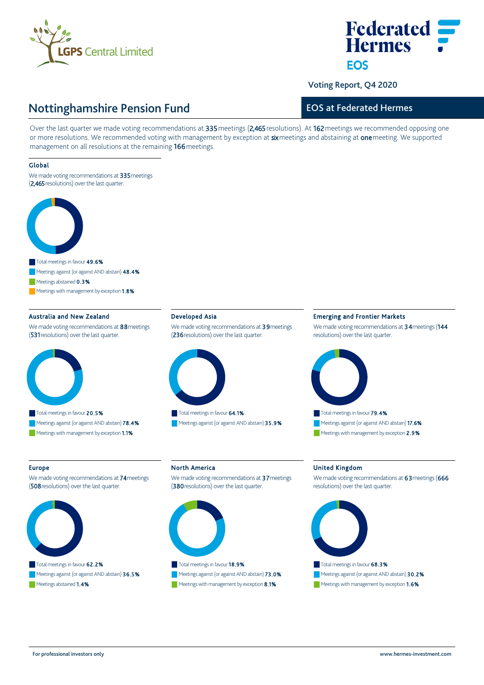

# **Federated Hermes FOS**

Voting Report, Q4 2020

## Nottinghamshire Pension Fund

## EOS at Federated Hermes

Over the last quarter we made voting recommendations at 335 meetings (2,465 resolutions). At 162 meetings we recommended opposing one or more resolutions. We recommended voting with management by exception at six meetings and abstaining at one meeting. We supported management on all resolutions at the remaining 166 meetings.

#### Global

We made voting recommendations at 335 meetings (2,465 resolutions) over the last quarter.



Meetings abstained 0.3%

Meetings with management by exception 1.8%

#### Australia and New Zealand

We made voting recommendations at 88 meetings (531 resolutions) over the last quarter.



#### Developed Asia

We made voting recommendations at 39 meetings (236 resolutions) over the last quarter.



Meetings against (or against AND abstain) 35.9%

#### Emerging and Frontier Markets

We made voting recommendations at 34 meetings (144 resolutions) over the last quarter.



#### Europe

We made voting recommendations at 74 meetings (508 resolutions) over the last quarter.



Meetings against (or against AND abstain) 36.5% Meetings abstained 1.4%

### North America

We made voting recommendations at 37 meetings (380 resolutions) over the last quarter.



Meetings against (or against AND abstain) 73.0% Meetings with management by exception 8.1%

#### United Kingdom

We made voting recommendations at 63 meetings (666 resolutions) over the last quarter.